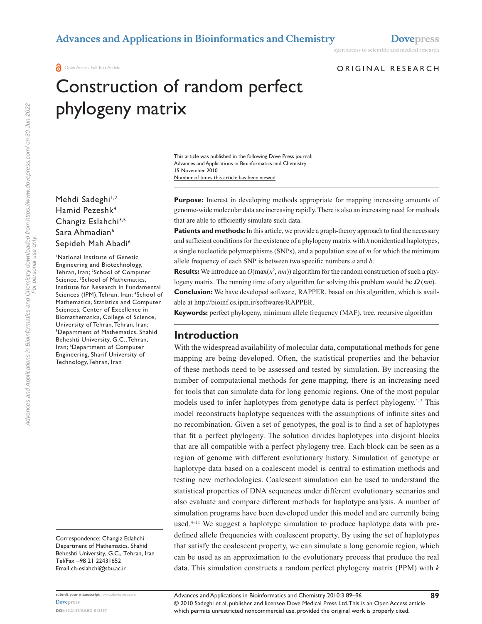#### **a** Open Access Full Text Article

## ORIGINAL RESEARCH

# Construction of random perfect phylogeny matrix

Number of times this article has been viewed This article was published in the following Dove Press journal: Advances and Applications in Bioinformatics and Chemistry 15 November 2010

Mehdi Sadeghi<sup>1,2</sup> Hamid Pezeshk<sup>4</sup> Changiz Eslahchi3,5 Sara Ahmadian<sup>6</sup> Sepideh Mah Abadi<sup>6</sup>

1 National Institute of Genetic Engineering and Biotechnology, Tehran, Iran; 2 School of Computer Science, <sup>3</sup>School of Mathematics, Institute for Research in Fundamental Sciences (IPM), Tehran, Iran; <sup>4</sup>School of Mathematics, Statistics and Computer Sciences, Center of Excellence in Biomathematics, College of Science, University of Tehran, Tehran, Iran; 5 Department of Mathematics, Shahid Beheshti University, G.C., Tehran, Iran; 6 Department of Computer Engineering, Sharif University of Technology, Tehran, Iran

Correspondence: Changiz Eslahchi Department of Mathematics, Shahid Beheshti University, G.C., Tehran, Iran Tel/Fax +98 21 22431652 Email ch[-eslahchi@sbu.ac.ir](mailto:ch-eslahchi@sbu.ac.ir)

**Purpose:** Interest in developing methods appropriate for mapping increasing amounts of genome-wide molecular data are increasing rapidly. There is also an increasing need for methods that are able to efficiently simulate such data.

**Patients and methods:** In this article, we provide a graph-theory approach to find the necessary and sufficient conditions for the existence of a phylogeny matrix with *k* nonidentical haplotypes, *n* single nucleotide polymorphisms (SNPs), and a population size of *m* for which the minimum allele frequency of each SNP is between two specific numbers *a* and *b*.

**Results:** We introduce an  $O(\max(n^2, nm))$  algorithm for the random construction of such a phylogeny matrix. The running time of any algorithm for solving this problem would be *Ω* (*nm*).

**Conclusion:** We have developed software, RAPPER, based on this algorithm, which is available at [http://bioinf.cs.ipm.ir/softwares/RAPPER.](http://bioinf.cs.ipm.ir/softwares/RAPPER)

**Keywords:** perfect phylogeny, minimum allele frequency (MAF), tree, recursive algorithm

## **Introduction**

With the widespread availability of molecular data, computational methods for gene mapping are being developed. Often, the statistical properties and the behavior of these methods need to be assessed and tested by simulation. By increasing the number of computational methods for gene mapping, there is an increasing need for tools that can simulate data for long genomic regions. One of the most popular models used to infer haplotypes from genotype data is perfect phylogeny.<sup>1-3</sup> This model reconstructs haplotype sequences with the assumptions of infinite sites and no recombination. Given a set of genotypes, the goal is to find a set of haplotypes that fit a perfect phylogeny. The solution divides haplotypes into disjoint blocks that are all compatible with a perfect phylogeny tree. Each block can be seen as a region of genome with different evolutionary history. Simulation of genotype or haplotype data based on a coalescent model is central to estimation methods and testing new methodologies. Coalescent simulation can be used to understand the statistical properties of DNA sequences under different evolutionary scenarios and also evaluate and compare different methods for haplotype analysis. A number of simulation programs have been developed under this model and are currently being used.<sup>4-11</sup> We suggest a haplotype simulation to produce haplotype data with predefined allele frequencies with coalescent property. By using the set of haplotypes that satisfy the coalescent property, we can simulate a long genomic region, which can be used as an approximation to the evolutionary process that produce the real data. This simulation constructs a random perfect phylogeny matrix (PPM) with *k*

© 2010 Sadeghi et al, publisher and licensee Dove Medical Press Ltd. This is an Open Access article which permits unrestricted noncommercial use, provided the original work is properly cited. Advances and Applications in Bioinformatics and Chemistry 2010:3 89–96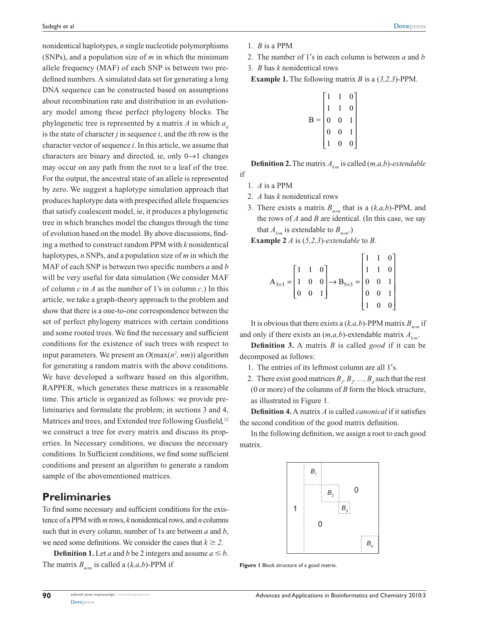nonidentical haplotypes, *n* single nucleotide polymorphisms (SNPs), and a population size of *m* in which the minimum allele frequency (MAF) of each SNP is between two predefined numbers. A simulated data set for generating a long DNA sequence can be constructed based on assumptions about recombination rate and distribution in an evolutionary model among these perfect phylogeny blocks. The phylogenetic tree is represented by a matrix  $\vec{A}$  in which  $\vec{a}$ <sub>ii</sub> is the state of character *j* in sequence *i*, and the *i*th row is the character vector of sequence *i*. In this article, we assume that characters are binary and directed, ie, only 0→1 changes may occur on any path from the root to a leaf of the tree. For the output, the ancestral state of an allele is represented by zero. We suggest a haplotype simulation approach that produces haplotype data with prespecified allele frequencies that satisfy coalescent model, ie, it produces a phylogenetic tree in which branches model the changes through the time of evolution based on the model. By above discussions, finding a method to construct random PPM with *k* nonidentical haplotypes, *n* SNPs, and a population size of *m* in which the MAF of each SNP is between two specific numbers *a* and *b* will be very useful for data simulation (We consider MAF of column *c* in *A* as the number of 1's in column *c*.) In this article, we take a graph-theory approach to the problem and show that there is a one-to-one correspondence between the set of perfect phylogeny matrices with certain conditions and some rooted trees. We find the necessary and sufficient conditions for the existence of such trees with respect to input parameters. We present an  $O(\max(n^2, nm))$  algorithm for generating a random matrix with the above conditions. We have developed a software based on this algorithm, RAPPER, which generates these matrices in a reasonable time. This article is organized as follows: we provide preliminaries and formulate the problem; in sections 3 and 4, Matrices and trees, and Extended tree following Gusfield,<sup>12</sup> we construct a tree for every matrix and discuss its properties. In Necessary conditions, we discuss the necessary conditions. In Sufficient conditions, we find some sufficient conditions and present an algorithm to generate a random sample of the abovementioned matrices.

# **Preliminaries**

To find some necessary and sufficient conditions for the existence of a PPM with *m* rows, *k* nonidentical rows, and *n* columns such that in every column, number of 1s are between *a* and *b*, we need some definitions. We consider the cases that  $k \geq 2$ .

**Definition 1.** Let *a* and *b* be 2 integers and assume  $a \leq b$ . The matrix  $B_{m\times n}$  is called a  $(k, a, b)$ -PPM if

- 1. *B* is a PPM
- 2. The number of 1′s in each column is between *a* and *b*
- 3. *B* has *k* nonidentical rows

**Example 1.** The following matrix *B* is a (*3,2,3*)*-*PPM.

$$
\mathbf{B} = \begin{bmatrix} 1 & 1 & 0 \\ 1 & 1 & 0 \\ 0 & 0 & 1 \\ 0 & 0 & 1 \\ 1 & 0 & 0 \end{bmatrix}
$$

**Definition 2.** The matrix  $A_{k\lambda n}$  is called  $(m, a, b)$ -extendable

- if 1. *A* is a PPM
	- 2. *A* has *k* nonidentical rows
	- 3. There exists a matrix  $B_{m \times n}$  that is a  $(k, a, b)$ -PPM, and
	- the rows of *A* and *B* are identical. (In this case, we say that  $A_{k\times n}$  is extendable to  $B_{m\times n}$ .)

**Example 2** *A* is (*5,2,3*)*-extendable* to *B*.

$$
A_{3\times 3} = \begin{bmatrix} 1 & 1 & 0 \\ 1 & 0 & 0 \\ 0 & 0 & 1 \end{bmatrix} \rightarrow B_{5\times 3} = \begin{bmatrix} 1 & 1 & 0 \\ 1 & 1 & 0 \\ 0 & 0 & 1 \\ 0 & 0 & 1 \\ 1 & 0 & 0 \end{bmatrix}
$$

It is obvious that there exists a  $(k, a, b)$ -PPM matrix  $B_{m \times n}$  if and only if there exists an  $(m, a, b)$ -extendable matrix  $A_{k,m}$ .

**Definition 3.** A matrix *B* is called *good* if it can be decomposed as follows:

1. The entries of its leftmost column are all 1′s.

2. There exist good matrices  $B_i, B_2, ..., B_d$  such that the rest (0 or more) of the columns of *B* form the block structure, as illustrated in Figure 1.

**Definition 4.** A matrix *A* is called *canonical* if it satisfies the second condition of the good matrix definition.

In the following definition, we assign a root to each good matrix.



**Figure 1** Block structure of a good matrix.

**90**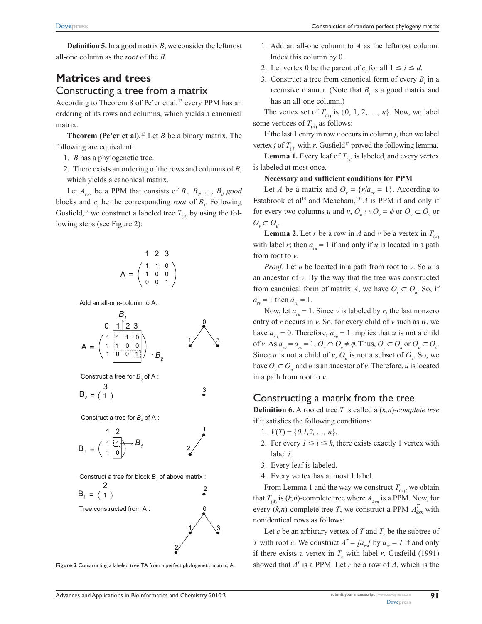**Definition 5.** In a good matrix *B*, we consider the leftmost all-one column as the *root* of the *B*.

# **Matrices and trees**

## Constructing a tree from a matrix

According to Theorem 8 of Pe'er et al,<sup>13</sup> every PPM has an ordering of its rows and columns, which yields a canonical matrix.

**Theorem (Pe'er et al).**13 Let *B* be a binary matrix. The following are equivalent:

- 1. *B* has a phylogenetic tree.
- 2. There exists an ordering of the rows and columns of *B*, which yields a canonical matrix.

Let  $A_{k\times n}$  be a PPM that consists of  $B_p$ ,  $B_2$ , ...,  $B_d$  good blocks and  $c_i$  be the corresponding *root* of  $B_i$ . Following Gusfield,<sup>12</sup> we construct a labeled tree  $T_{(A)}$  by using the following steps (see Figure 2):

$$
A = \begin{pmatrix} 1 & 1 & 0 \\ 1 & 0 & 0 \\ 0 & 0 & 1 \end{pmatrix}
$$

Add an all-one-column to A.



Construct a tree for  $B<sub>2</sub>$  of A :

$$
\mathsf{B}_2 = \begin{pmatrix} 3 \\ 1 \end{pmatrix}
$$

Construct a tree for  $B<sub>1</sub>$  of A :



Construct a tree for block  $B<sub>i</sub>$  of above matrix :

1

3



**Figure 2** Constructing a labeled tree TA from a perfect phylogenetic matrix, A.

- 1. Add an all-one column to *A* as the leftmost column. Index this column by 0.
- 2. Let vertex 0 be the parent of  $c_i$  for all  $1 \le i \le d$ .
- 3. Construct a tree from canonical form of every  $B_i$  in a recursive manner. (Note that  $B_i$  is a good matrix and has an all-one column.)

The vertex set of  $T_{(A)}$  is  $\{0, 1, 2, ..., n\}$ . Now, we label some vertices of  $T_{(A)}$  as follows:

If the last 1 entry in row  $r$  occurs in column  $j$ , then we label vertex *j* of  $T_{(A)}$  with *r*. Gusfield<sup>12</sup> proved the following lemma.

**Lemma 1.** Every leaf of  $T_{(A)}$  is labeled, and every vertex is labeled at most once.

#### **Necessary and sufficient conditions for PPM**

Let *A* be a matrix and  $O_v = \{r/a_v = 1\}$ . According to Estabrook et al<sup>14</sup> and Meacham,<sup>15</sup>  $A$  is PPM if and only if for every two columns *u* and *v*,  $O_u \cap O_v = \phi$  or  $O_u \subset O_v$  or  $O_v \subset O_u$ 

**Lemma 2.** Let *r* be a row in *A* and *v* be a vertex in  $T_{(A)}$ with label *r*; then  $a_{ru} = 1$  if and only if *u* is located in a path from root to *v*.

*Proof*. Let *u* be located in a path from root to *v*. So *u* is an ancestor of *v*. By the way that the tree was constructed from canonical form of matrix *A*, we have  $O_v \subset O_u$ . So, if  $a_{rv} = 1$  then  $a_{rv} = 1$ .

Now, let  $a_{\mu} = 1$ . Since *v* is labeled by *r*, the last nonzero entry of *r* occurs in *v*. So, for every child of *v* such as *w*, we have  $a_{rw} = 0$ . Therefore,  $a_{ru} = 1$  implies that *u* is not a child of *v*. As  $a_{ru} = a_{rv} = 1$ ,  $O_u \cap O_v \neq \emptyset$ . Thus,  $O_v \subset O_u$  or  $O_u \subset O_v$ . Since *u* is not a child of *v*,  $O_u$  is not a subset of  $O_v$ . So, we have  $O_v \subset O_u$  and *u* is an ancestor of *v*. Therefore, *u* is located in a path from root to *v*.

# Constructing a matrix from the tree

**Definition 6.** A rooted tree *T* is called a (*k,n*)*-complete tree* if it satisfies the following conditions:

- 1.  $V(T) = \{0, 1, 2, ..., n\}.$
- 2. For every  $1 \le i \le k$ , there exists exactly 1 vertex with label *i*.
- 3. Every leaf is labeled.
- 4. Every vertex has at most 1 label.

From Lemma 1 and the way we construct  $T_{(A)}$ , we obtain that  $T_{(A)}$  is  $(k, n)$ -complete tree where  $A_{k \times n}$  is a PPM. Now, for every  $(k, n)$ -complete tree *T*, we construct a PPM  $A_{kx}^T$  with nonidentical rows as follows:

Let *c* be an arbitrary vertex of *T* and  $T_c$  be the subtree of *T* with root *c*. We construct  $A<sup>T</sup> = [a<sub>r<sub>n</sub></sub>]$  by  $a<sub>r<sub>n</sub></sub> = 1$  if and only if there exists a vertex in  $T_c$  with label *r*. Gusfeild (1991) showed that  $A<sup>T</sup>$  is a PPM. Let *r* be a row of *A*, which is the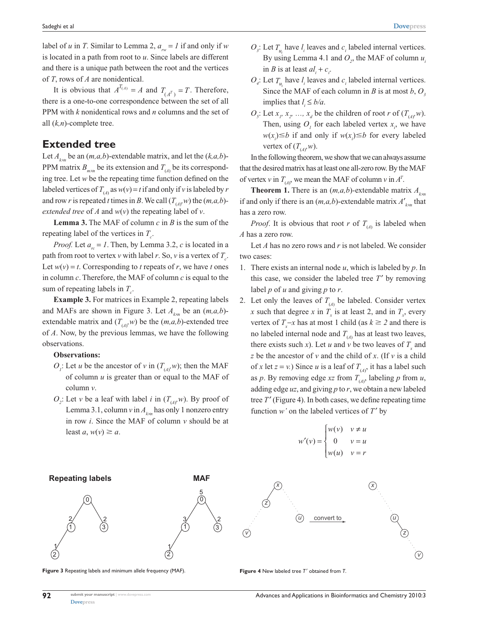label of *u* in *T*. Similar to Lemma 2,  $a_{rw} = 1$  if and only if *w* is located in a path from root to *u*. Since labels are different and there is a unique path between the root and the vertices of *T*, rows of *A* are nonidentical.

It is obvious that  $A^{T_{(A)}} = A$  and  $T_{(A^T)} = T$ . Therefore, there is a one-to-one correspondence between the set of all PPM with *k* nonidentical rows and *n* columns and the set of all (*k,n*)*-*complete tree.

## **Extended tree**

Let  $A_{k\times n}$  be an  $(m, a, b)$ -extendable matrix, and let the  $(k, a, b)$ -PPM matrix  $B_{m\times n}$  be its extension and  $T_{(A)}$  be its corresponding tree. Let *w* be the repeating time function defined on the labeled vertices of  $T_{(A)}$  as  $w(v) = t$  if and only if *v* is labeled by *r* and row *r* is repeated *t* times in *B*. We call  $(T_{(A)} w)$  the  $(m, a, b)$ *extended tree* of *A* and *w*(*v*) the repeating label of *v*.

**Lemma 3.** The MAF of column *c* in *B* is the sum of the repeating label of the vertices in  $T_c$ .

*Proof.* Let  $a<sub>m</sub> = 1$ . Then, by Lemma 3.2, *c* is located in a path from root to vertex *v* with label *r*. So, *v* is a vertex of  $T_c$ . Let  $w(v) = t$ . Corresponding to *t* repeats of *r*, we have *t* ones in column *c*. Therefore, the MAF of column *c* is equal to the sum of repeating labels in  $T_c$ .

**Example 3.** For matrices in Example 2, repeating labels and MAFs are shown in Figure 3. Let  $A_{kyn}$  be an  $(m, a, b)$ extendable matrix and  $(T_{(A)} w)$  be the  $(m, a, b)$ -extended tree of *A*. Now, by the previous lemmas, we have the following observations.

#### **Observations:**

- *O<sub>1</sub>*: Let *u* be the ancestor of *v* in  $(T_{(A)}^T w)$ ; then the MAF of column *u* is greater than or equal to the MAF of column *v*.
- $O_2$ : Let *v* be a leaf with label *i* in  $(T_{(A)}^T w)$ . By proof of Lemma 3.1, column *v* in  $A_{k\infty}$  has only 1 nonzero entry in row *i*. Since the MAF of column *v* should be at least *a*,  $w(v) \ge a$ .
- $O_3$ : Let  $T_{u_i}$  have  $l_i$  leaves and  $c_i$  labeled internal vertices. By using Lemma 4.1 and  $O_2$ , the MAF of column  $u_i$ in *B* is at least  $al_i + c_i$ .
- $O_i$ : Let  $T_{u_i}$  have  $l_i$  leaves and  $c_i$  labeled internal vertices. Since the MAF of each column in *B* is at most *b*,  $O_3$ implies that  $l_i \leq b/a$ .
- $O_5$ : Let  $x_p, x_p, ..., x_d$  be the children of root *r* of  $(T_{(A)}^1, w)$ . Then, using  $O<sub>j</sub>$  for each labeled vertex  $x<sub>j</sub>$ , we have  $w(x_i) \leq b$  if and only if  $w(x_i) \leq b$  for every labeled vertex of  $(T_{(A)}^{\prime}, w)$ .

In the following theorem, we show that we can always assume that the desired matrix has at least one all-zero row. By the MAF of vertex *v* in  $T_{(A)}$ , we mean the MAF of column *v* in  $A^T$ .

**Theorem 1.** There is an  $(m, a, b)$ -extendable matrix  $A_{k \times n}$ if and only if there is an  $(m, a, b)$ -extendable matrix  $A'_{k x n}$  that has a zero row.

*Proof.* It is obvious that root *r* of  $T_{(A)}$  is labeled when *A* has a zero row.

Let *A* has no zero rows and *r* is not labeled. We consider two cases:

- 1. There exists an internal node *u*, which is labeled by *p*. In this case, we consider the labeled tree *T*′ by removing label *p* of *u* and giving *p* to *r*.
- 2. Let only the leaves of  $T_{(A)}$  be labeled. Consider vertex *x* such that degree *x* in  $T_x$  is at least 2, and in  $T_x$ , every vertex of  $T_x \rightarrow x$  has at most 1 child (as  $k \ge 2$  and there is no labeled internal node and  $T_{(A)}$  has at least two leaves, there exists such *x*). Let *u* and *v* be two leaves of  $T_x$  and *z* be the ancestor of *v* and the child of *x*. (If *v* is a child of *x* let  $z = v$ .) Since *u* is a leaf of  $T_{(A)}$ , it has a label such as *p*. By removing edge *xz* from  $T_{(A)}$ , labeling *p* from *u*, adding edge *uz*, and giving *p* to *r*, we obtain a new labeled tree *T*′ (Figure 4). In both cases, we define repeating time function *w'* on the labeled vertices of *T*′ by

 $w(v)$   $v \neq u$ 

≠

 $(v)$ 

 $\overline{\phantom{a}}$ 



**Figure 3** Repeating labels and minimum allele frequency (MAF).

1  $(3)$   $(1)$ 

3

2/ $\sqrt{2}$ 

1

2

3



2 1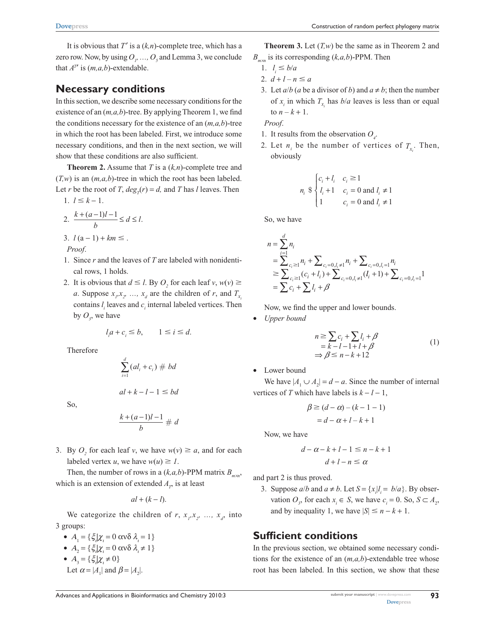It is obvious that *T*′ is a (*k,n*)-complete tree, which has a zero row. Now, by using  $O_1$ , ...,  $O_5$  and Lemma 3, we conclude that  $A^{T'}$  is  $(m, a, b)$ -extendable.

# **Necessary conditions**

In this section, we describe some necessary conditions for the existence of an (*m,a,b*)-tree. By applying Theorem 1, we find the conditions necessary for the existence of an (*m,a,b*)-tree in which the root has been labeled. First, we introduce some necessary conditions, and then in the next section, we will show that these conditions are also sufficient.

**Theorem 2.** Assume that *T* is a (*k,n*)-complete tree and  $(T, w)$  is an  $(m, a, b)$ -tree in which the root has been labeled. Let *r* be the root of *T*,  $deg_T(r) = d$ , and *T* has *l* leaves. Then

$$
2. \ \frac{k+(a-1)l-1}{b} \le d \le l.
$$

3.  $l(a-1) + km \leq$ .

1.  $l \leq k - 1$ .

*Proof*.

- 1. Since *r* and the leaves of *T* are labeled with nonidentical rows, 1 holds.
- 2. It is obvious that  $d \leq l$ . By  $O_2$  for each leaf  $v, w(v) \geq$ *a*. Suppose  $x_1, x_2, \ldots, x_d$  are the children of *r*, and  $T_{x_i}$ contains  $l_i$  leaves and  $c_i$  internal labeled vertices. Then by  $O<sub>j</sub>$ , we have

$$
l_i a + c_i \le b, \qquad 1 \le i \le d.
$$

Therefore

$$
\sum_{i=1}^d (al_i + c_i) \neq bd
$$

 $al + k - l - 1 \leq bd$ 

So,

$$
\frac{k+(a-1)l-1}{b} \# d
$$

3. By  $O_2$  for each leaf *v*, we have  $w(v) \ge a$ , and for each labeled vertex *u*, we have  $w(u) \geq 1$ .

Then, the number of rows in a  $(k, a, b)$ -PPM matrix  $B_{m \times n}$ , which is an extension of extended  $A<sub>T</sub>$ , is at least

$$
al + (k - l).
$$

We categorize the children of *r*,  $x_1, x_2, \ldots, x_d$ , into 3 groups:

- $A_1 = \{\xi_i | \chi_i = 0 \text{ and } \lambda_i = 1\}$
- $A_2 = {\xi_i | \chi_i = 0 \text{ and } \lambda_i \neq 1}$
- $A_3 = {\{\xi_i | \chi_i \neq 0\}}$
- Let  $\alpha = |A_1|$  and  $\beta = |A_2|$ .

**Theorem 3.** Let (*T,w*) be the same as in Theorem 2 and  $B_{m\times n}$  is its corresponding  $(k, a, b)$ -PPM. Then

- 1.  $l_i \leq b/a$
- 2.  $d + l n \le a$
- 3. Let  $a/b$  (*a* be a divisor of *b*) and  $a \neq b$ ; then the number of  $x_i$  in which  $T_{x_i}$  has  $b/a$  leaves is less than or equal to  $n - k + 1$ .

*Proof*.

- 1. It results from the observation  $O_{\alpha}$ .
- 2. Let  $n_i$  be the number of vertices of  $T_{x_i}$ . Then, obviously

$$
n_i \mathcal{L} \begin{cases} c_i + l_i & c_i \ge 1 \\ l_i + 1 & c_i = 0 \text{ and } l_i \ne 1 \\ 1 & c_i = 0 \text{ and } l_i \ne 1 \end{cases}
$$

So, we have

$$
n = \sum_{i=1}^{d} n_i
$$
  
=  $\sum_{c_i \ge 1}^{i=1} n_i + \sum_{c_i=0, l_i \ne 1}^{i=1} n_i + \sum_{c_i=0, l_i=1}^{i=1} n_i$   

$$
\ge \sum_{c_i \ge 1} (c_i + l_i) + \sum_{c_i=0, l_i \ne 1} (l_i + 1) + \sum_{c_i=0, l_i=1}^{i=1} 1
$$
  
=  $\sum_{i=1}^{d} c_i + \sum_{i=1}^{d} l_i + \beta$ 

Now, we find the upper and lower bounds.

• *Upper bound*

$$
n \geq \sum_{i} c_i + \sum_{i} l_i + \beta
$$
  
=  $k - l - 1 + l + \beta$   
 $\Rightarrow \beta \leq n - k + 12$  (1)

• Lower bound

We have  $|A_1 \cup A_2| = d - a$ . Since the number of internal vertices of *T* which have labels is  $k - l - 1$ ,

$$
\beta \ge (d - \alpha) - (k - 1 - 1)
$$

$$
= d - \alpha + l - k + 1
$$

Now, we have

$$
d - \alpha - k + l - 1 \le n - k + 1
$$

$$
d + l - n \le \alpha
$$

and part 2 is thus proved.

3. Suppose  $a/b$  and  $a \neq b$ . Let  $S = \{x_i | l_i = b/a\}$ . By observation  $O_j$ , for each  $x_i \in S$ , we have  $c_i = 0$ . So,  $S \subset A_2$ , and by inequality 1, we have  $|S| \le n - k + 1$ .

# **Sufficient conditions**

In the previous section, we obtained some necessary conditions for the existence of an (*m,a,b*)-extendable tree whose root has been labeled. In this section, we show that these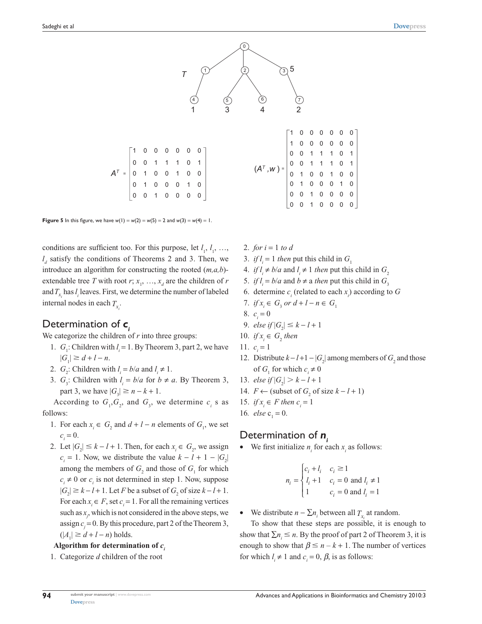

**Figure 5** In this figure, we have  $w(1) = w(2) = w(5) = 2$  and  $w(3) = w(4) = 1$ .

1

0 0

1

0

conditions are sufficient too. For this purpose, let  $l_1, l_2, \ldots$ ,  $l_d$  satisfy the conditions of Theorems 2 and 3. Then, we introduce an algorithm for constructing the rooted (*m,a,b*) extendable tree *T* with root *r*;  $x_1$ , ...,  $x_d$  are the children of *r* and  $T_{x_i}$  has  $l_i$  leaves. First, we determine the number of labeled internal nodes in each  $T_{x_i}$ .

# Determination of **c**<sub>i</sub>

We categorize the children of *r* into three groups:

- 1.  $G_i$ : Children with  $l_i = 1$ . By Theorem 3, part 2, we have  $|G_1| \ge d + l - n.$
- 2.  $G_2$ : Children with  $l_i = b/a$  and  $l_i \neq 1$ .
- 3. *G*<sub>3</sub>: Children with  $l_i = b/a$  for  $b \neq a$ . By Theorem 3,  $part 3$ , we have  $|G_3| \ge n - k + 1$ .

According to  $G_1$ ,  $G_2$ , and  $G_3$ , we determine  $c_i$  s as follows:

- 1. For each  $x_i$  ∈  $G_2$  and  $d + l n$  elements of  $G_1$ , we set  $c_i = 0$ .
- 2. Let  $|G_2| \leq k l + 1$ . Then, for each  $x_i \in G_2$ , we assign  $c_i = 1$ . Now, we distribute the value  $k - l + 1 - |G_2|$ among the members of  $G_2$  and those of  $G_1$  for which  $c_i \neq 0$  or  $c_i$  is not determined in step 1. Now, suppose  $|G_2| \geq k - l + 1$ . Let *F* be a subset of  $G_2$  of size  $k - l + 1$ . For each  $x_i \in F$ , set  $c_i = 1$ . For all the remaining vertices such as  $x_j$ , which is not considered in the above steps, we assign  $c_j = 0$ . By this procedure, part 2 of the Theorem 3,  $(|A_1| \ge d + l - n)$  holds.

#### **Algorithm for determination of** *ci*

1. Categorize *d* children of the root

**[Dovepress](www.dovepress.com)** 

- 2. *for i* = 1 *to d*
- 3. *if*  $l_i = 1$  *then* put this child in  $G_i$
- 4. *if*  $l_i \neq b/a$  and  $l_i \neq 1$  *then* put this child in  $G_2$
- 5. *if*  $l_i = b/a$  and  $b \neq a$  *then* put this child in  $G_3$
- 6. determine  $c_i$  (related to each  $x_i$ ) according to  $G$

1

- 7. *if*  $x_i \in G_3$  *or*  $d + l n \in G_1$
- 8.  $c_i = 0$
- 9. *else* if  $|G_2| \leq k l + 1$
- 10. *if*  $x_i \in G$ , *then*
- 11.  $c_i = 1$
- 12. Distribute  $k l + 1 |G_2|$  among members of  $G_2$  and those of  $G_1$  for which  $c_i \neq 0$
- 13. *else* if  $|G_2| > k l + 1$
- 14. *F* ← (subset of *G*<sub>2</sub> of size  $k l + 1$ )
- 15. *if*  $x_i$  ∈ *F* then  $c_i$  = 1
- 16*.*  $else$  c<sub>1</sub> = 0.

## Determination of **n**<sub>i</sub>

• We first initialize  $n_i$  for each  $x_i$  as follows:

$$
n_i = \begin{cases} c_i + l_i & c_i \ge 1 \\ l_i + 1 & c_i = 0 \text{ and } l_i \ne 1 \\ 1 & c_i = 0 \text{ and } l_i = 1 \end{cases}
$$

• We distribute  $n - \sum n_i$  between all  $T_{x_i}$  at random.

To show that these steps are possible, it is enough to show that  $\sum n_i \le n$ . By the proof of part 2 of Theorem 3, it is enough to show that  $\beta \le n - k + 1$ . The number of vertices for which  $l_i \neq 1$  and  $c_i = 0$ ,  $\beta$ , is as follows: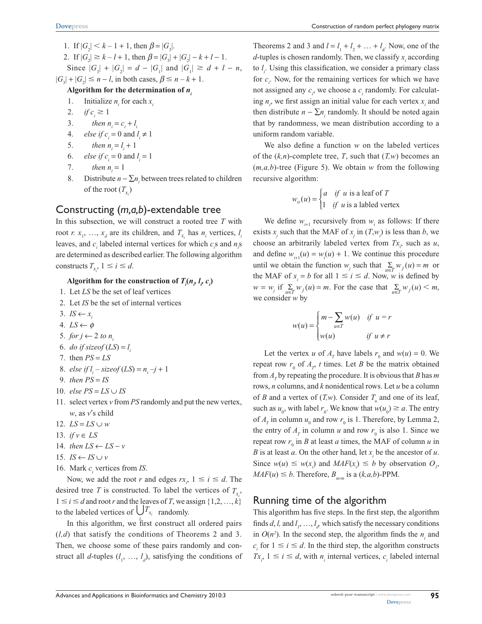- 1. If  $|G_2| < k 1 + 1$ , then  $\beta = |G_3|$ .
- 2. If  $|G_2| \ge k l + 1$ , then  $\beta = |G_3| + |G_2| k + l 1$ .

Since  $|G_3| + |G_2| = d - |G_1|$  and  $|G_1| \ge d + l - n$ ,  $|G_3| + |G_2| \le n - l$ , in both cases,  $\beta \le n - k + 1$ .

#### **Algorithm for the determination of** *ni*

- 1. Initialize  $n_i$  for each  $x_i$ 
	- 2. *if*  $c_i \ge 1$
- 3. *then*  $n_i = c_i + l_i$
- 4. *else if*  $c_i = 0$  and  $l_i \neq 1$
- 5. *then*  $n_i = l_i + 1$
- 6. *else if*  $c_i = 0$  and  $l_i = 1$ 
	- 7. *then*  $n_i = 1$
- 8. Distribute  $n \sum n_i$  between trees related to children of the root  $(T_{r})$

## Constructing (*m,a,b*)-extendable tree

In this subsection, we will construct a rooted tree *T* with root *r.*  $x_1$ , ...,  $x_d$  are its children, and  $T_{x_i}$  has  $n_i$  vertices,  $l_i$ leaves, and  $c_i$  labeled internal vertices for which  $c_i$ s and  $n_i$ s are determined as described earlier. The following algorithm constructs  $T_{x_i}$ ,  $1 \le i \le d$ .

# Algorithm for the construction of  $T_i(n_i, l_i, c_i)$

- 1. Let *LS* be the set of leaf vertices
- 2. Let *IS* be the set of internal vertices
- 3. *IS* ← *x*<sub>i</sub>
- 4. *LS* ← *φ*
- 5. *for*  $j \leftarrow 2$  *to*  $n_i$
- 6. *do if size of*  $(LS) = l_i$
- 7. then *PS* = *LS*
- 8. *else if*  $l_i$  *sizeof* (*LS*) =  $n_i$  –*j* + 1
- 9. *then*  $PS = IS$
- 10.  $else PS = LS \cup IS$
- 11. select vertex *v* from *PS* randomly and put the new vertex, *w*, as *v*′s child
- 12.  $LS = LS$  ∪ *w*
- 13. *if*  $v \in LS$
- 14. *then*  $LS \leftarrow LS v$
- 15. *IS* ← *IS* ∪ *v*
- 16. Mark  $c_i$  vertices from *IS*.

Now, we add the root *r* and edges  $rx_i$ ,  $1 \le i \le d$ . The desired tree *T* is constructed. To label the vertices of  $T_{x_i}$ ,  $1 \le i \le d$  and root *r* and the leaves of *T*, we assign  $\{1,2,...,k\}$ to the labeled vertices of  $\bigcup T_{x_i}$  randomly.

In this algorithm, we first construct all ordered pairs (*l,d*) that satisfy the conditions of Theorems 2 and 3. Then, we choose some of these pairs randomly and construct all *d*-tuples  $(l_1, ..., l_d)$ , satisfying the conditions of

Theorems 2 and 3 and  $l = l_1 + l_2 + \dots + l_d$ . Now, one of the  $d$ -tuples is chosen randomly. Then, we classify  $x_i$  according to  $l_i$ . Using this classification, we consider a primary class for  $c_i$ . Now, for the remaining vertices for which we have not assigned any  $c_i$ , we choose a  $c_i$  randomly. For calculating  $n_i$ , we first assign an initial value for each vertex  $x_i$  and then distribute  $n - \sum n_i$  randomly. It should be noted again that by randomness, we mean distribution according to a uniform random variable.

We also define a function *w* on the labeled vertices of the  $(k, n)$ -complete tree, *T*, such that  $(T, w)$  becomes an (*m,a,b*)*-*tree (Figure 5). We obtain *w* from the following recursive algorithm:

$$
w_o(u) = \begin{cases} a & \text{if } u \text{ is a leaf of } T \\ 1 & \text{if } u \text{ is a labeled vertex} \end{cases}
$$

We define  $w_{i+1}$  recursively from  $w_i$  as follows: If there exists  $x_i$  such that the MAF of  $x_j$  in  $(T, w_i)$  is less than *b*, we choose an arbitrarily labeled vertex from  $Tx_i$ , such as *u*, and define  $w_{i+1}(u) = w_i(u) + 1$ . We continue this procedure until we obtain the function  $w_j$  such that  $\sum_{u \in T} w_j(u) = m$  or the MAF of  $x_i = b$  for all  $1 \le i \le d$ . Now, *w* is defined by  $w = w_j$  if  $\sum_{u \in T} w_j(u) = m$ . For the case that  $\sum_{u \in T} w_j(u) \le m$ , we consider *w* by

$$
w(u) = \begin{cases} m - \sum_{u \in T} w(u) & \text{if } u = r \\ w(u) & \text{if } u \neq r \end{cases}
$$

Let the vertex *u* of  $A_T$  have labels  $r_0$  and  $w(u) = 0$ . We repeat row  $r_0$  of  $A_T$ , *t* times. Let *B* be the matrix obtained from  $A_T$  by repeating the procedure. It is obvious that *B* has *m* rows, *n* columns, and *k* nonidentical rows. Let *u* be a column of *B* and a vertex of  $(T, w)$ . Consider  $T_u$  and one of its leaf, such as  $u_0$ , with label  $r_0$ . We know that  $w(u_0) \ge a$ . The entry of  $A<sub>r</sub>$  in column  $u<sub>0</sub>$  and row  $r<sub>0</sub>$  is 1. Therefore, by Lemma 2, the entry of  $A_T$  in column *u* and row  $r_0$  is also 1. Since we repeat row  $r_0$  in *B* at least *a* times, the MAF of column  $u$  in *B* is at least *a*. On the other hand, let  $x_i$  be the ancestor of *u*. Since  $w(u) \leq w(x_i)$  and  $MAF(x_i) \leq b$  by observation  $O_i$ ,  $MAF(u) \leq b$ . Therefore,  $B_{m \times n}$  is a  $(k, a, b)$ -PPM.

# Running time of the algorithm

This algorithm has five steps. In the first step, the algorithm finds *d*, *l*, and  $l_1$ , ...,  $l_d$  which satisfy the necessary conditions in  $O(n^2)$ . In the second step, the algorithm finds the  $n_i$  and  $c_i$  for  $1 \le i \le d$ . In the third step, the algorithm constructs  $Tx_i$ ,  $1 \le i \le d$ , with  $n_i$  internal vertices,  $c_i$  labeled internal